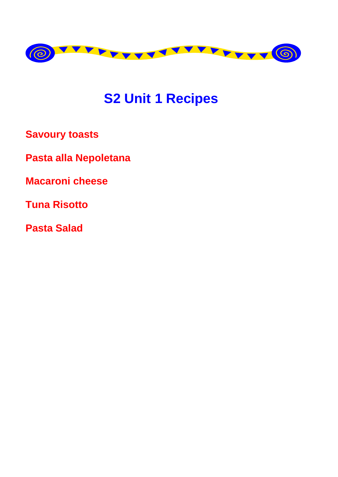

# **S2 Unit 1 Recipes**

**Savoury toasts** 

Pasta alla Nepoletana

**Macaroni cheese** 

**Tuna Risotto** 

**Pasta Salad**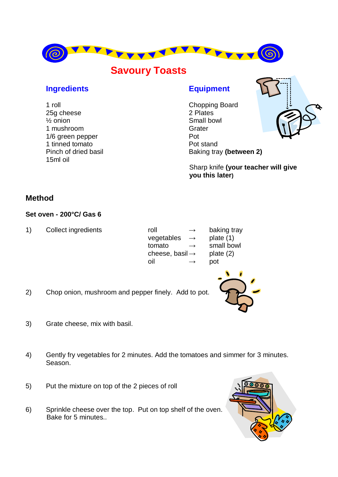

# **Savoury Toasts**

#### **Ingredients Equipment**

1 roll Chopping Board 25g cheese 2 Plates ½ onion Small bowl 1 mushroom Grater 1/6 areen pepper Pot 1 tinned tomato Pot stand 15ml oil

Pinch of dried basil Baking tray **(between 2)** 



Sharp knife **(your teacher will give you this later)**

### **Method**

#### **Set oven - 200°C/ Gas 6**

1) Collect ingredients roll  $\rightarrow$  baking tray

| roll                        | ⊸ |
|-----------------------------|---|
| vegetables                  |   |
| tomato                      | → |
| cheese, basil $\rightarrow$ |   |
| nil                         |   |
|                             |   |

plate (1) small bowl plate (2) pot



- 2) Chop onion, mushroom and pepper finely. Add to pot.
- 3) Grate cheese, mix with basil.
- 4) Gently fry vegetables for 2 minutes. Add the tomatoes and simmer for 3 minutes. Season.
- 5) Put the mixture on top of the 2 pieces of roll
- 6) Sprinkle cheese over the top. Put on top shelf of the oven. Bake for 5 minutes..

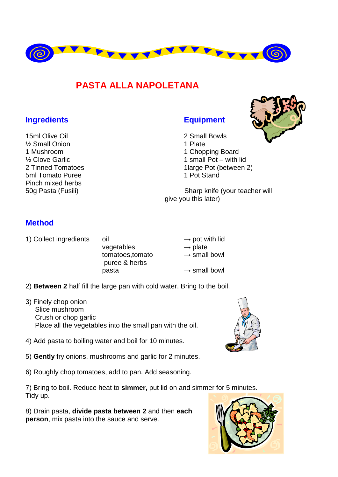

## **PASTA ALLA NAPOLETANA**

#### **Ingredients Equipment**

15ml Olive Oil 2 Small Bowls <sup>1/2</sup> Small Onion 1 Plate 1 Mushroom 1 Chopping Board 5ml Tomato Puree 1 Pot Stand Pinch mixed herbs

<sup>1/2</sup> Clove Garlic 1 small Pot – with lid 2 Tinned Tomatoes 2 1large Pot (between 2)

50g Pasta (Fusili) Sharp knife (your teacher will give you this later)

#### **Method**

1) Collect ingredients oil  $\rightarrow$  pot with lid

vegetables  $\rightarrow$  plate tomatoes.tomato → small bowl puree & herbs  $\mathsf{p}$ asta  $\rightarrow$  small bowl

2) **Between 2** half fill the large pan with cold water. Bring to the boil.

- 3) Finely chop onion Slice mushroom Crush or chop garlic Place all the vegetables into the small pan with the oil.
- 4) Add pasta to boiling water and boil for 10 minutes.
- 5) **Gently** fry onions, mushrooms and garlic for 2 minutes.
- 6) Roughly chop tomatoes, add to pan. Add seasoning.

7) Bring to boil. Reduce heat to **simmer,** put lid on and simmer for 5 minutes. Tidy up.

8) Drain pasta, **divide pasta between 2** and then **each person**, mix pasta into the sauce and serve.





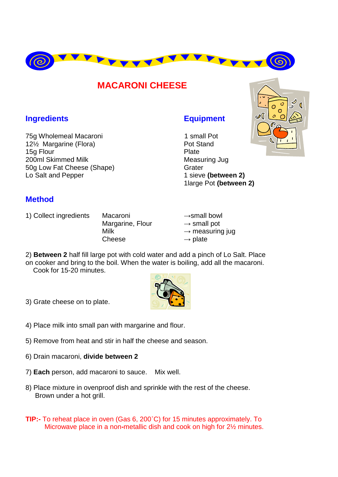

### **MACARONI CHEESE**

### **Ingredients Equipment**

75g Wholemeal Macaroni 1 small Pot 12<sup>1</sup>/<sub>2</sub> Margarine (Flora) **Pot Stand** 15g Flour **Plate** 200ml Skimmed Milk Measuring Jug 50g Low Fat Cheese (Shape) Grater Lo Salt and Pepper 1 sieve **(between 2)** 

1large Pot **(between 2)**

### **Method**

1) Collect ingredients Macaroni →small bowl

Margarine, Flour  $\rightarrow$  small pot Cheese  $\longrightarrow$  plate

Milk  $\rightarrow$  measuring jug

2) **Between 2** half fill large pot with cold water and add a pinch of Lo Salt. Place on cooker and bring to the boil. When the water is boiling, add all the macaroni. Cook for 15-20 minutes.



- 3) Grate cheese on to plate.
- 4) Place milk into small pan with margarine and flour.
- 5) Remove from heat and stir in half the cheese and season.
- 6) Drain macaroni, **divide between 2**
- 7) **Each** person, add macaroni to sauce. Mix well.
- 8) Place mixture in ovenproof dish and sprinkle with the rest of the cheese. Brown under a hot grill.
- **TIP:-** To reheat place in oven (Gas 6, 200˚C) for 15 minutes approximately. To Microwave place in a non**-**metallic dish and cook on high for 2½ minutes.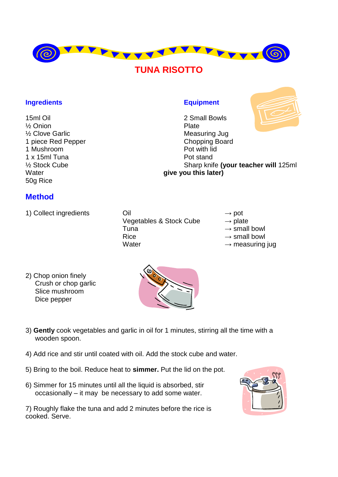

# **TUNA RISOTTO**

#### **Ingredients Equipment**

15ml Oil 2 Small Bowls ½ Onion Plate 1 piece Red Pepper Chopping Board 1 Mushroom **Pot with lid** 1 x 15ml Tuna Pot stand ½ Stock Cube Sharp knife **(your teacher will** 125ml Water **give you this later)** 50g Rice

#### **Method**

- 
- 1) Collect ingredients  $\bigcirc$  Oil  $\rightarrow$  pot Vegetables & Stock Cube  $\rightarrow$  plate Tuna  $\rightarrow$  small bowl Rice  $\rightarrow$  small bowl Water  $\rightarrow$  measuring jug

- 
- 
- 

2) Chop onion finely Crush or chop garlic Slice mushroom Dice pepper



- 3) **Gently** cook vegetables and garlic in oil for 1 minutes, stirring all the time with a wooden spoon.
- 4) Add rice and stir until coated with oil. Add the stock cube and water.
- 5) Bring to the boil. Reduce heat to **simmer.** Put the lid on the pot.
- 6) Simmer for 15 minutes until all the liquid is absorbed, stir occasionally – it may be necessary to add some water.

7) Roughly flake the tuna and add 2 minutes before the rice is cooked. Serve.



**Measuring Jug**